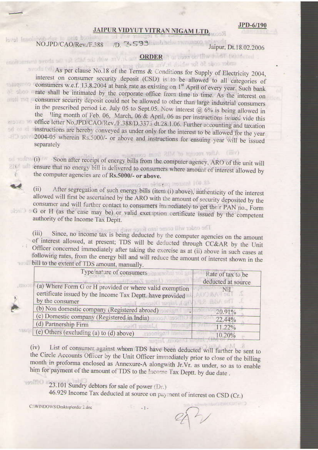## JAIPUR VIDYUT VITRAN NIGAM LTD.

ivib duc to beis bonjuito in ad in la rat lemol eron aniworls NO.JPD/CAO/Rev./F.388 /D. 3599

Jaipur, Dt.18.02.2006

# enotionsment syoris on vot 21M sole drive 21V at our ORDER in or boon on filter short (which red

under code 56 for which it. Vis. almady a As per clause No.18 of the Terms & Conditions for Supply of Electricity 2004, interest on consumer security deposit (CSD) is to be allowed to all categories of consumers w.e.f. 13,8,2004 at bank rate as existing on 1<sup>st</sup> April of every year. Such bank allow trate shall be intimated by the corporate office from time to time. As the interest on consumer security deposit could not be allowed to other than large industrial consumers in the prescribed period i.e. July 05 to Sept.05. Now interest  $(2, 6\% )$  is being allowed in the ling month of Feb. 06, March, 06 & April, 06 as per instructions issued vide this office letter No.JPD/CAO/Rev./F.388/D.3375 dt.28.1.06. Further accounting and taxation instructions are hereby conveyed as under only for the interest to be allowed for the year 2004-05 wherein Rs.5000/- or above and instructions for ensuing year will be issued separately with After receipt of MIS from company

(i) Soon after receipt of energy bills from the computer agency, ARO of the unit will ensure that no energy bill is delivered to consumers where amount of interest allowed by the computer agencies are of Rs.5000/- or above.

> 48.401 from person person After segregation of such energy bills (item (i) above), authenticity of the interest

allowed will first be ascertained by the ARO with the amount of security deposited by the consumer and will further contact to consumers immediately to get their PAN no., Form G or H (as the case may be) or valid exemption certificate issued by the competent don Dis authority of the Income Tax Deptt.

The order will come into force with it

Since, no income tax is being deducted by the computer agencies on the amount  $(iii)$ of interest allowed, at present; TDS will be deducted through CC&AR by the Unit Officer concerned immediately after taking the exercise as at (ii) above in such cases at following rates, from the energy bill and will reduce the amount of interest shown in the bill to the extent of TDS amount, manually.

| Type/nature of consumers                                                                                                                | Rate of tax to be<br>deducted at source         |
|-----------------------------------------------------------------------------------------------------------------------------------------|-------------------------------------------------|
| (a) Where Form G or H provided or where valid exemption<br>certificate issued by the Income Tax Deptt. have provided<br>by the consumer | Nil<br><b>SEVIRANT SEL</b><br>$1.962$ LBBA on T |
| (b) Non domestic company (Registered abroad)                                                                                            | 20.91%                                          |
| (c) Domestic company (Registered in India)                                                                                              | 22.44%                                          |
| (d) Partnership Firm                                                                                                                    | 11.22%                                          |
| (e) Others (excluding (a) to (d) above)                                                                                                 | 10.20%                                          |

List of consumer against whom TDS have been deducted will further be sent to  $(iv)$ the Circle Accounts Officer by the Unit Officer immediately prior to close of the billing month in proforma enclosed as Annexure-A alongwith Jr.Vr. as under, so as to enable him for payment of the amount of TDS to the Income Tax Deptt. by due date.

w

 $(ii)$ 

23.101 Sundry debtors for sale of power (Dr.)

46.929 Income Tax deducted at source on payment of interest on CSD (Cr.)

C:\WINDOWS\Desktop\order 2.doc

 $-1-$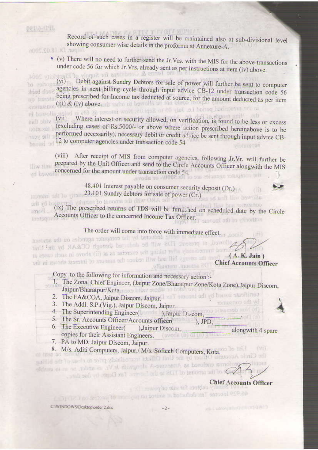### JP11-6/196

to conog

drind rlotti

no teststit

Record of such cases in a register will be maintained also at sub-divisional level showing consumer wise details in the proforma at Annexure-A. anno Du (8.02 hono

\* (v) There will no need to further send the Jr. Vrs. with the MIS for the above transactions under code 56 for which Jr.Vrs. already sent as per instructions at item (iv) above. he ferres & Conditions for Sunoly of Flat

MOC vriors Debit against Sundry Debtors for sale of power will further be sent to computer  $(vi)$ agencies in next billing cycle through input advice CB-12 under transaction code 56 being prescribed for Income tax deducted at source, for the amount deducted as per item  $(iii)$  &  $(iv)$  above. in the presented period i.e. July 05 to Sept.05, Ecow interest (@ 6%) is being allowed in

Where interest on security allowed, on verification, is found to be less or excess  $(vii)$ aidi obre (excluding cases of Rs.5000/- or above where action prescribed hereinabove is to be **RODE YELL** performed necessarily), necessary debit or credit advice be sent through input advice CBthey vent 12 to computer agencies under transaction code 54 Neurisal ad visinmosa

(viii) After receipt of MIS from computer agencies, following Jr.Vr. will further be prepared by the Unit Officer and send to the Circle Accounts Officer alongwith the MIS **HIVY HIBI** concerned for the amount under transaction code 54.

48.401 Interest payable on consumer security deposit (Dr.) 23.101 Sundry debtors for sale of power (Cr.)



(ix) The prescribed returns of TDS will be furnished on scheduled date by the Circle Accounts Officer to the concerned Income Tax Officer. **Implicant** sencont still to virtuation

The order will come into force with immediate effect.

housest dell'ored by the computer agencies on the amount illowed, at present; TDS will be deducted through CC&AR by the Unit the essential allows taking the exercise to till above in such classes in adi ni mworle taaratni lo muonna adi aauken liiw haa fiiri ayaana adi mood ya(A. K. Jain) **Chief Accounts Officer** 

Copy to the following for information and necessary action:-

- 1. The Zonal Chief Engineer, (Jaipur Zone/Bharatpur Zone/Kota Zone), Jaipur Discom, Jaipur/Bharatpur/Keta most hils / media in the tone 1
- 2. The FA&COA, Jaipur Discorn, Jaipur. I was a sense of the set of the set
	- 3. The Addl. S.P.(Vig.), Jaipur Discom, Jaipur.
	- 4. The Superintending Engineer(Marketing Discom,
	- 5. The Sr. Accounts Officer/Accounts officer( ), JPD,
	- 6. The Executive Engineer( ), Jaipur Discom. alongwith 4 spare copies for their Assistant Engineers. (370 100 100 100 100
	- 7. PA to MD, Jaipur Discom, Jaipur.
- 8. M/s. Aditi Computers, Jaipur, M/s. Softech Computers, Kota. the Circle Accounts Officer by the Unit Officer immediately prior to chacao' the billing

able to oil ze or the state of the special in Val shows and the state of able **HYOH!** and sub all supplies in the land of the famous of he design and

 $(913)$ 

**Chief Accounts Officer** of the for site of power (2)

remuence and ad

mos pitesmob noin (d)

46.929 Income The definition in source on pay her like to the set of CSD (GT)

CAWINDOWS\Desktop\order 2.doc